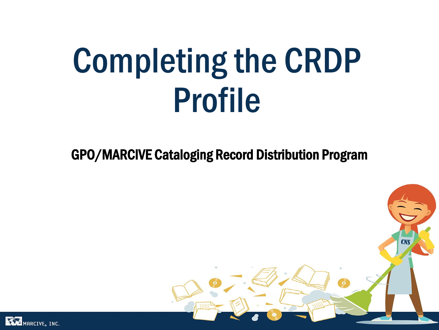# Completing the CRDP Profile

GPO/MARCIVE Cataloging Record Distribution Program



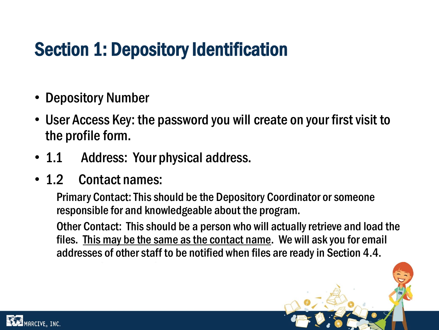## Section 1: Depository Identification

- **Depository Number**
- User Access Key: the password you will create on your first visit to the profile form.
- 1.1 Address: Your physical address.
- 1.2 Contact names:

Primary Contact: This should be the Depository Coordinator or someone responsible for and knowledgeable about the program.

Other Contact: This should be a person who will actually retrieve and load the files. This may be the same as the contact name. We will ask you for email addresses of other staff to be notified when files are ready in Section 4.4.

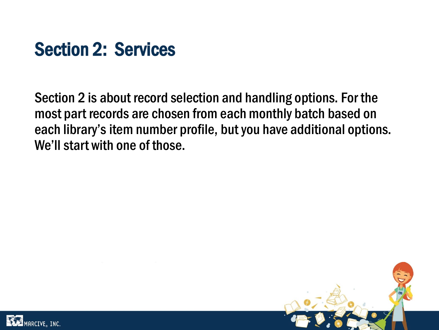

Section 2 is about record selection and handling options. For the most part records are chosen from each monthly batch based on each library's item number profile, but you have additional options. We'll start with one of those.



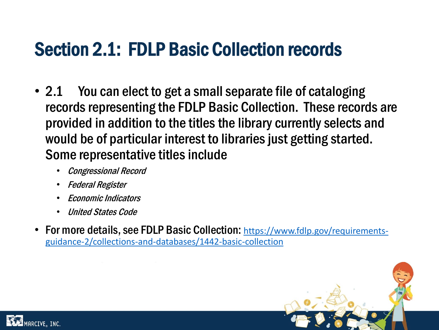## Section 2.1: FDLP Basic Collection records

- 2.1 You can elect to get a small separate file of cataloging records representing the FDLP Basic Collection. These records are provided in addition to the titles the library currently selects and would be of particular interest to libraries just getting started. Some representative titles include
	- Congressional Record
	- Federal Register
	- Economic Indicators
	- United States Code
- For more details, see FDLP Basic Collection: https://www.fdlp.gov/requirements[guidance-2/collections-and-databases/1442-basic-collection](https://www.fdlp.gov/requirements-guidance-2/collections-and-databases/1442-basic-collection)



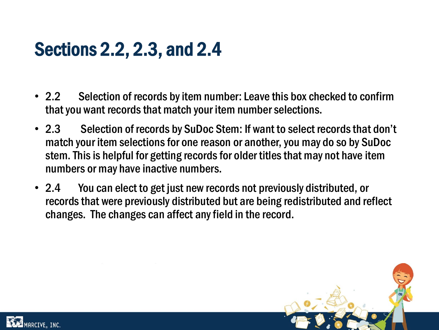## Sections 2.2, 2.3, and 2.4

- 2.2 Selection of records by item number: Leave this box checked to confirm that you want records that match your item number selections.
- 2.3 Selection of records by SuDoc Stem: If want to select records that don't match your item selections for one reason or another, you may do so by SuDoc stem. This is helpful for getting records for older titles that may not have item numbers or may have inactive numbers.
- 2.4 You can elect to get just new records not previously distributed, or records that were previously distributed but are being redistributed and reflect changes. The changes can affect any field in the record.



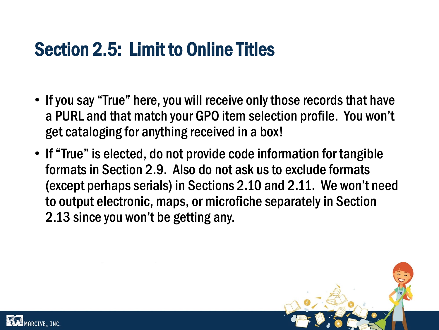## Section 2.5: Limit to Online Titles

- If you say "True" here, you will receive only those records that have a PURL and that match your GPO item selection profile. You won't get cataloging for anything received in a box!
- If "True" is elected, do not provide code information for tangible formats in Section 2.9. Also do not ask us to exclude formats (except perhaps serials) in Sections 2.10 and 2.11. We won't need to output electronic, maps, or microfiche separately in Section 2.13 since you won't be getting any.



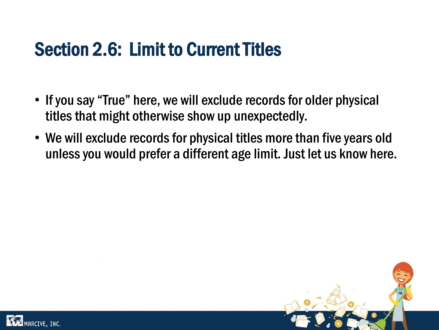## Section 2.6: Limit to Current Titles

- If you say "True" here, we will exclude records for older physical titles that might otherwise show up unexpectedly.
- We will exclude records for physical titles more than five years old unless you would prefer a different age limit. Just let us know here.



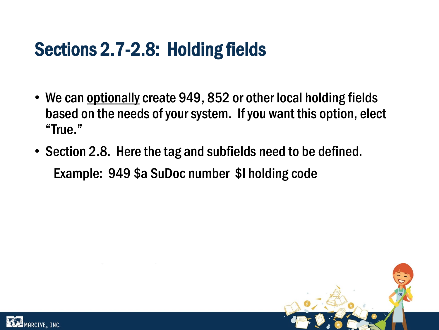## Sections 2.7-2.8: Holding fields

- We can optionally create 949, 852 or other local holding fields based on the needs of your system. If you want this option, elect "True."
- Section 2.8. Here the tag and subfields need to be defined. Example: 949 \$a SuDoc number \$l holding code



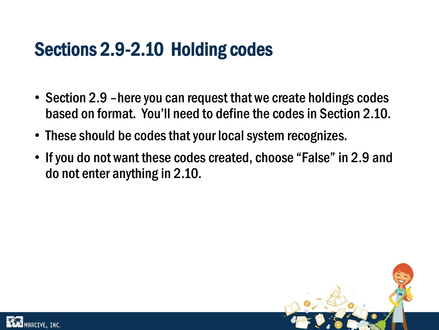## Sections 2.9-2.10 Holding codes

- Section 2.9 –here you can request that we create holdings codes based on format. You'll need to define the codes in Section 2.10.
- These should be codes that your local system recognizes.
- If you do not want these codes created, choose "False" in 2.9 and do not enter anything in 2.10.



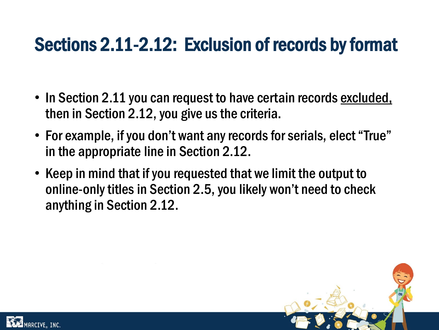## Sections 2.11-2.12: Exclusion of records by format

- In Section 2.11 you can request to have certain records excluded, then in Section 2.12, you give us the criteria.
- For example, if you don't want any records for serials, elect "True" in the appropriate line in Section 2.12.
- Keep in mind that if you requested that we limit the output to online-only titles in Section 2.5, you likely won't need to check anything in Section 2.12.



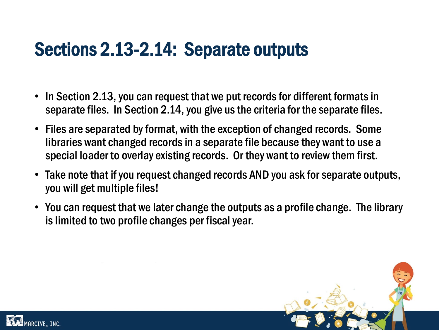## Sections 2.13-2.14: Separate outputs

- In Section 2.13, you can request that we put records for different formats in separate files. In Section 2.14, you give us the criteria for the separate files.
- Files are separated by format, with the exception of changed records. Some libraries want changed records in a separate file because they want to use a special loader to overlay existing records. Or they want to review them first.
- Take note that if you request changed records AND you ask for separate outputs, you will get multiple files!
- You can request that we later change the outputs as a profile change. The library is limited to two profile changes per fiscal year.



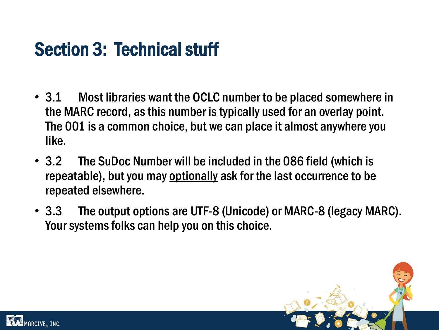## Section 3: Technical stuff

- 3.1 Most libraries want the OCLC number to be placed somewhere in the MARC record, as this number is typically used for an overlay point. The 001 is a common choice, but we can place it almost anywhere you like.
- 3.2 The SuDoc Number will be included in the 086 field (which is repeatable), but you may optionally ask for the last occurrence to be repeated elsewhere.
- 3.3 The output options are UTF-8 (Unicode) or MARC-8 (legacy MARC). Your systems folks can help you on this choice.



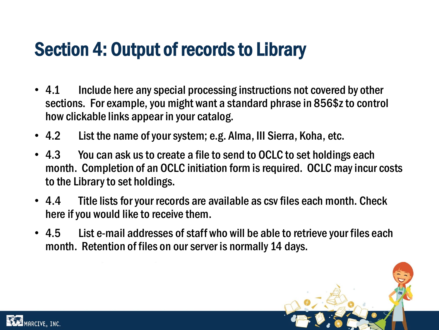## Section 4: Output of records to Library

- 4.1 Include here any special processing instructions not covered by other sections. For example, you might want a standard phrase in 856\$z to control how clickable links appear in your catalog.
- 4.2 List the name of your system; e.g. Alma, III Sierra, Koha, etc.
- 4.3 You can ask us to create a file to send to OCLC to set holdings each month. Completion of an OCLC initiation form is required. OCLC may incur costs to the Library to set holdings.
- 4.4 Title lists for your records are available as csv files each month. Check here if you would like to receive them.
- 4.5 List e-mail addresses of staff who will be able to retrieve your files each month. Retention of files on our server is normally 14 days.



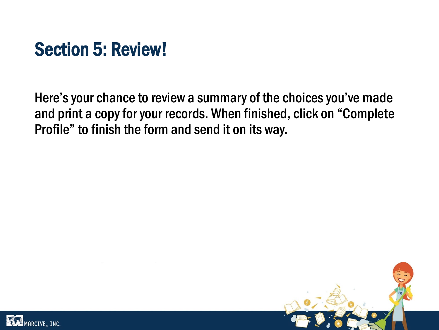## Section 5: Review!

Here's your chance to review a summary of the choices you've made and print a copy for your records. When finished, click on "Complete Profile" to finish the form and send it on its way.



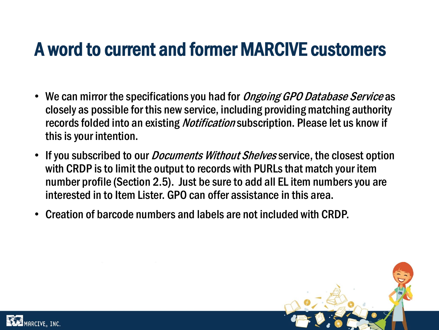#### A word to current and former MARCIVE customers

- We can mirror the specifications you had for *Ongoing GPO Database Service* as closely as possible for this new service, including providing matching authority records folded into an existing *Notification* subscription. Please let us know if this is your intention.
- If you subscribed to our *Documents Without Shelves* service, the closest option with CRDP is to limit the output to records with PURLs that match your item number profile (Section 2.5). Just be sure to add all EL item numbers you are interested in to Item Lister. GPO can offer assistance in this area.
- Creation of barcode numbers and labels are not included with CRDP.



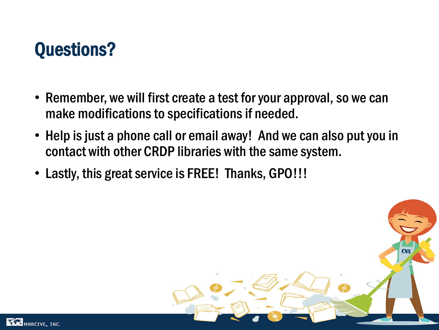## Questions?

- Remember, we will first create a test for your approval, so we can make modifications to specifications if needed.
- Help is just a phone call or email away! And we can also put you in contact with other CRDP libraries with the same system.
- Lastly, this great service is FREE! Thanks, GPO!!!